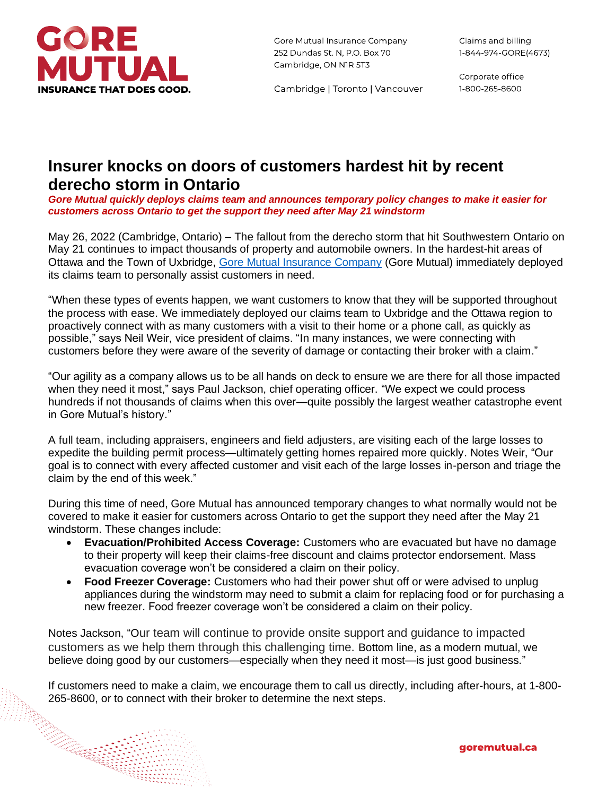

Gore Mutual Insurance Company 252 Dundas St. N, P.O. Box 70 Cambridge, ON NIR 5T3

Corporate office 1-800-265-8600

Cambridge | Toronto | Vancouver

## **Insurer knocks on doors of customers hardest hit by recent derecho storm in Ontario**

*Gore Mutual quickly deploys claims team and announces temporary policy changes to make it easier for customers across Ontario to get the support they need after May 21 windstorm*

May 26, 2022 (Cambridge, Ontario) – The fallout from the derecho storm that hit Southwestern Ontario on May 21 continues to impact thousands of property and automobile owners. In the hardest-hit areas of Ottawa and the Town of Uxbridge, [Gore Mutual Insurance Company](http://www.goremutual.ca/) (Gore Mutual) immediately deployed its claims team to personally assist customers in need.

"When these types of events happen, we want customers to know that they will be supported throughout the process with ease. We immediately deployed our claims team to Uxbridge and the Ottawa region to proactively connect with as many customers with a visit to their home or a phone call, as quickly as possible," says Neil Weir, vice president of claims. "In many instances, we were connecting with customers before they were aware of the severity of damage or contacting their broker with a claim."

"Our agility as a company allows us to be all hands on deck to ensure we are there for all those impacted when they need it most," says Paul Jackson, chief operating officer. "We expect we could process hundreds if not thousands of claims when this over—quite possibly the largest weather catastrophe event in Gore Mutual's history."

A full team, including appraisers, engineers and field adjusters, are visiting each of the large losses to expedite the building permit process—ultimately getting homes repaired more quickly. Notes Weir, "Our goal is to connect with every affected customer and visit each of the large losses in-person and triage the claim by the end of this week."

During this time of need, Gore Mutual has announced temporary changes to what normally would not be covered to make it easier for customers across Ontario to get the support they need after the May 21 windstorm. These changes include:

- **Evacuation/Prohibited Access Coverage:** Customers who are evacuated but have no damage to their property will keep their claims-free discount and claims protector endorsement. Mass evacuation coverage won't be considered a claim on their policy.
- **Food Freezer Coverage:** Customers who had their power shut off or were advised to unplug appliances during the windstorm may need to submit a claim for replacing food or for purchasing a new freezer. Food freezer coverage won't be considered a claim on their policy.

Notes Jackson, "Our team will continue to provide onsite support and guidance to impacted customers as we help them through this challenging time. Bottom line, as a modern mutual, we believe doing good by our customers—especially when they need it most—is just good business."

If customers need to make a claim, we encourage them to call us directly, including after-hours, at 1-800- 265-8600, or to connect with their broker to determine the next steps.

goremutual.ca